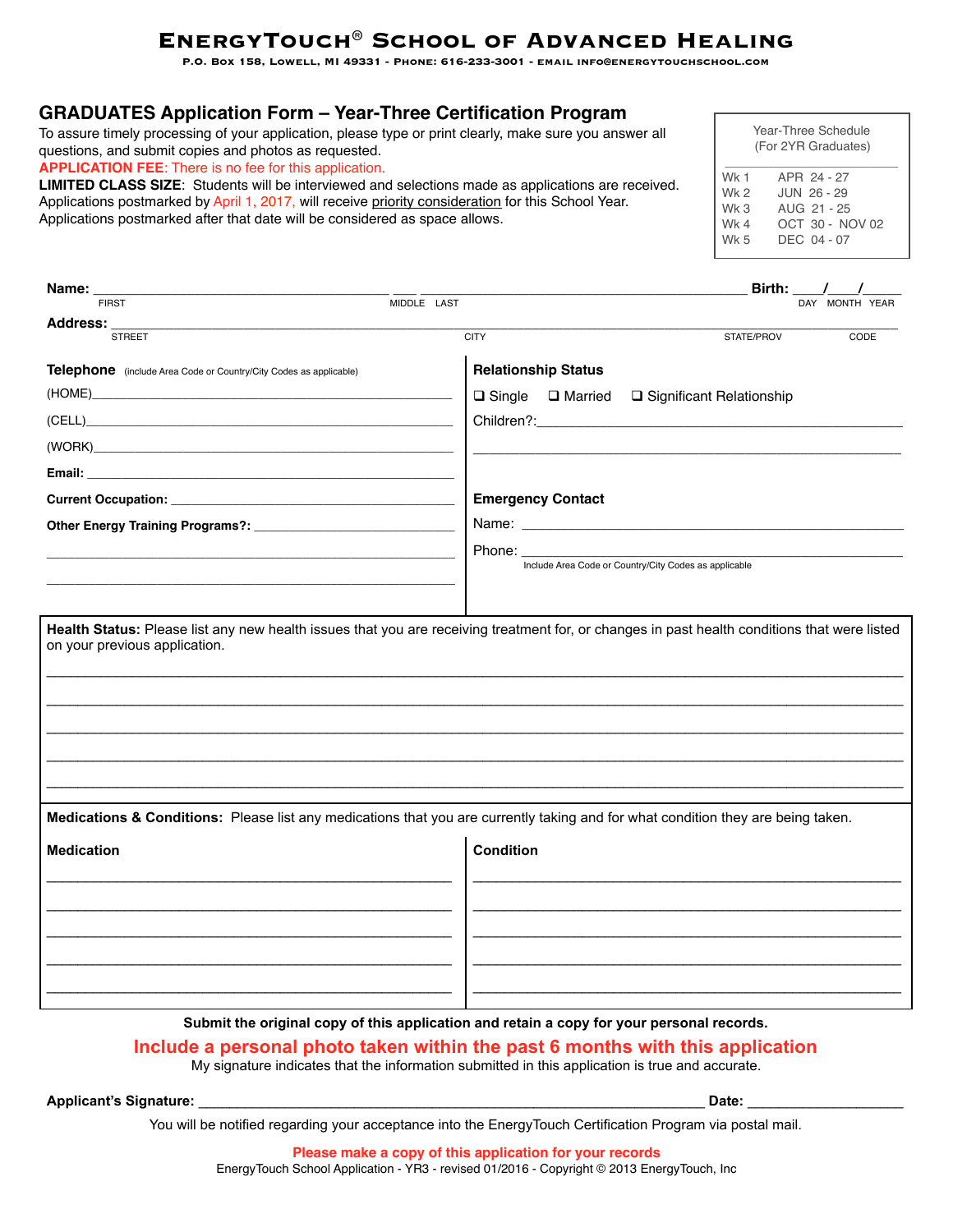# **EnergyTouch® School of Advanced Healing**

**P.O. Box 158, Lowell, MI 49331 - Phone: 616-233-3001 - email info@energytouchschool.com** 

### **GRADUATES Application Form – Year-Three Certification Program**

To assure timely processing of your application, please type or print clearly, make sure you answer all questions, and submit copies and photos as requested.

**APPLICATION FEE**: There is no fee for this application.

**LIMITED CLASS SIZE**: Students will be interviewed and selections made as applications are received. Applications postmarked by April 1, 2017, will receive priority consideration for this School Year. Applications postmarked after that date will be considered as space allows.

| Year-Three Schedule |                     |  |  |  |
|---------------------|---------------------|--|--|--|
|                     | (For 2YR Graduates) |  |  |  |
| Wk 1                | APR 24 - 27         |  |  |  |
| Wk 2                | JUN 26 - 29         |  |  |  |
| Wk 3                | AUG 21 - 25         |  |  |  |
| Wk 4                | OCT 30 - NOV 02     |  |  |  |
| Wk 5                | DEC 04 - 07         |  |  |  |
|                     |                     |  |  |  |

| Name: $\frac{1}{\text{FIRST}}$                                                                                                                                                                                                      |                                                                                                                                                                                                                                | Birth: $\_$                                           | $\frac{1}{2}$  |
|-------------------------------------------------------------------------------------------------------------------------------------------------------------------------------------------------------------------------------------|--------------------------------------------------------------------------------------------------------------------------------------------------------------------------------------------------------------------------------|-------------------------------------------------------|----------------|
|                                                                                                                                                                                                                                     | MIDDLE LAST                                                                                                                                                                                                                    |                                                       | DAY MONTH YEAR |
| Address:<br><b>STREET</b>                                                                                                                                                                                                           | <b>CITY</b>                                                                                                                                                                                                                    | STATE/PROV                                            | CODE           |
| Telephone (include Area Code or Country/City Codes as applicable)                                                                                                                                                                   | <b>Relationship Status</b>                                                                                                                                                                                                     |                                                       |                |
|                                                                                                                                                                                                                                     | $\Box$ Single $\Box$ Married                                                                                                                                                                                                   | □ Significant Relationship                            |                |
| (CELL) and the contract of the contract of the contract of the contract of the contract of the contract of the                                                                                                                      |                                                                                                                                                                                                                                |                                                       |                |
|                                                                                                                                                                                                                                     |                                                                                                                                                                                                                                |                                                       |                |
| <b>Email:</b> The contract of the contract of the contract of the contract of the contract of the contract of the contract of the contract of the contract of the contract of the contract of the contract of the contract of the c |                                                                                                                                                                                                                                |                                                       |                |
|                                                                                                                                                                                                                                     | <b>Emergency Contact</b>                                                                                                                                                                                                       |                                                       |                |
|                                                                                                                                                                                                                                     |                                                                                                                                                                                                                                |                                                       |                |
|                                                                                                                                                                                                                                     | Phone: the contract of the contract of the contract of the contract of the contract of the contract of the contract of the contract of the contract of the contract of the contract of the contract of the contract of the con |                                                       |                |
|                                                                                                                                                                                                                                     |                                                                                                                                                                                                                                | Include Area Code or Country/City Codes as applicable |                |
|                                                                                                                                                                                                                                     |                                                                                                                                                                                                                                |                                                       |                |
|                                                                                                                                                                                                                                     |                                                                                                                                                                                                                                |                                                       |                |
| Medications & Conditions: Please list any medications that you are currently taking and for what condition they are being taken.                                                                                                    |                                                                                                                                                                                                                                |                                                       |                |
| <b>Medication</b>                                                                                                                                                                                                                   | <b>Condition</b>                                                                                                                                                                                                               |                                                       |                |
|                                                                                                                                                                                                                                     |                                                                                                                                                                                                                                |                                                       |                |
|                                                                                                                                                                                                                                     |                                                                                                                                                                                                                                |                                                       |                |
|                                                                                                                                                                                                                                     |                                                                                                                                                                                                                                |                                                       |                |
|                                                                                                                                                                                                                                     |                                                                                                                                                                                                                                |                                                       |                |
|                                                                                                                                                                                                                                     |                                                                                                                                                                                                                                |                                                       |                |
|                                                                                                                                                                                                                                     |                                                                                                                                                                                                                                |                                                       |                |

### **Submit the original copy of this application and retain a copy for your personal records.**

**Include a personal photo taken within the past 6 months with this application** 

My signature indicates that the information submitted in this application is true and accurate.

**Applicant's Signature:** \_\_\_\_\_\_\_\_\_\_\_\_\_\_\_\_\_\_\_\_\_\_\_\_\_\_\_\_\_\_\_\_\_\_\_\_\_\_\_\_\_\_\_\_\_\_\_\_\_\_\_\_\_\_\_\_\_\_\_\_\_\_\_\_\_ **Date:** \_\_\_\_\_\_\_\_\_\_\_\_\_\_\_\_\_\_\_\_

You will be notified regarding your acceptance into the EnergyTouch Certification Program via postal mail.

**Please make a copy of this application for your records** EnergyTouch School Application - YR3 - revised 01/2016 - Copyright © 2013 EnergyTouch, Inc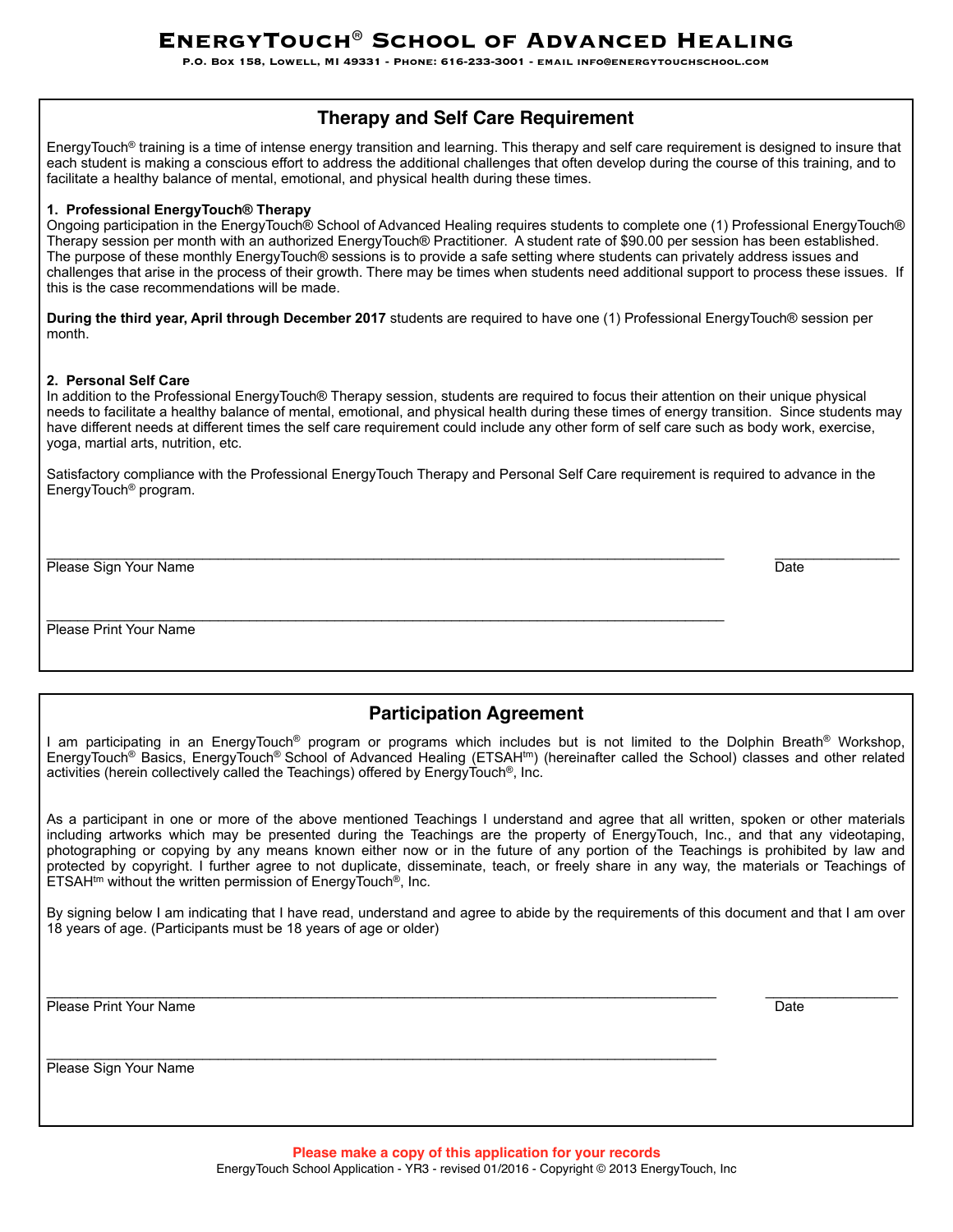**P.O. Box 158, Lowell, MI 49331 - Phone: 616-233-3001 - email info@energytouchschool.com** 

### **Therapy and Self Care Requirement**

EnergyTouch® training is a time of intense energy transition and learning. This therapy and self care requirement is designed to insure that each student is making a conscious effort to address the additional challenges that often develop during the course of this training, and to facilitate a healthy balance of mental, emotional, and physical health during these times.

#### **1. Professional EnergyTouch® Therapy**

Ongoing participation in the EnergyTouch® School of Advanced Healing requires students to complete one (1) Professional EnergyTouch® Therapy session per month with an authorized EnergyTouch® Practitioner. A student rate of \$90.00 per session has been established. The purpose of these monthly EnergyTouch® sessions is to provide a safe setting where students can privately address issues and challenges that arise in the process of their growth. There may be times when students need additional support to process these issues. If this is the case recommendations will be made.

**During the third year, April through December 2017** students are required to have one (1) Professional EnergyTouch® session per month.

#### **2. Personal Self Care**

In addition to the Professional EnergyTouch® Therapy session, students are required to focus their attention on their unique physical needs to facilitate a healthy balance of mental, emotional, and physical health during these times of energy transition. Since students may have different needs at different times the self care requirement could include any other form of self care such as body work, exercise, yoga, martial arts, nutrition, etc.

\_\_\_\_\_\_\_\_\_\_\_\_\_\_\_\_\_\_\_\_\_\_\_\_\_\_\_\_\_\_\_\_\_\_\_\_\_\_\_\_\_\_\_\_\_\_\_\_\_\_\_\_\_\_\_\_\_\_\_\_\_\_\_\_\_\_\_\_\_\_\_\_\_\_\_\_\_\_\_\_\_\_\_\_\_\_\_ \_\_\_\_\_\_\_\_\_\_\_\_\_\_\_\_

Satisfactory compliance with the Professional EnergyTouch Therapy and Personal Self Care requirement is required to advance in the EnergyTouch® program.

Please Sign Your Name Date New York Changes and the Changes of the Changes of the Date Date Date Date Date New York Changes and Date Date Date Date New York Changes and Date Date Date Date Date New York Changes and Date Da

Please Print Your Name

### **Participation Agreement**

I am participating in an EnergyTouch<sup>®</sup> program or programs which includes but is not limited to the Dolphin Breath<sup>®</sup> Workshop, EnergyTouch<sup>®</sup> Basics, EnergyTouch<sup>®</sup> School of Advanced Healing (ETSAH<sup>tm</sup>) (hereinafter called the School) classes and other related activities (herein collectively called the Teachings) offered by EnergyTouch®, Inc.

As a participant in one or more of the above mentioned Teachings I understand and agree that all written, spoken or other materials including artworks which may be presented during the Teachings are the property of EnergyTouch, Inc., and that any videotaping, photographing or copying by any means known either now or in the future of any portion of the Teachings is prohibited by law and protected by copyright. I further agree to not duplicate, disseminate, teach, or freely share in any way, the materials or Teachings of  $ETSAH<sup>tm</sup>$  without the written permission of EnergyTouch<sup>®</sup>, Inc.

By signing below I am indicating that I have read, understand and agree to abide by the requirements of this document and that I am over 18 years of age. (Participants must be 18 years of age or older)

Please Print Your Name **Date of American Contract Contract Contract Contract Contract Contract Contract Contract Contract Contract Contract Contract Contract Contract Contract Contract Contract Contract Contract Contract C** 

\_\_\_\_\_\_\_\_\_\_\_\_\_\_\_\_\_\_\_\_\_\_\_\_\_\_\_\_\_\_\_\_\_\_\_\_\_\_\_\_\_\_\_\_\_\_\_\_\_\_\_\_\_\_\_\_\_\_\_\_\_\_\_\_\_\_\_\_\_\_\_\_\_\_\_\_\_\_\_\_\_\_\_\_\_\_ \_\_\_\_\_\_\_\_\_\_\_\_\_\_\_\_\_

Please Sign Your Name

\_\_\_\_\_\_\_\_\_\_\_\_\_\_\_\_\_\_\_\_\_\_\_\_\_\_\_\_\_\_\_\_\_\_\_\_\_\_\_\_\_\_\_\_\_\_\_\_\_\_\_\_\_\_\_\_\_\_\_\_\_\_\_\_\_\_\_\_\_\_\_\_\_\_\_\_\_\_\_\_\_\_\_\_\_\_

\_\_\_\_\_\_\_\_\_\_\_\_\_\_\_\_\_\_\_\_\_\_\_\_\_\_\_\_\_\_\_\_\_\_\_\_\_\_\_\_\_\_\_\_\_\_\_\_\_\_\_\_\_\_\_\_\_\_\_\_\_\_\_\_\_\_\_\_\_\_\_\_\_\_\_\_\_\_\_\_\_\_\_\_\_\_\_